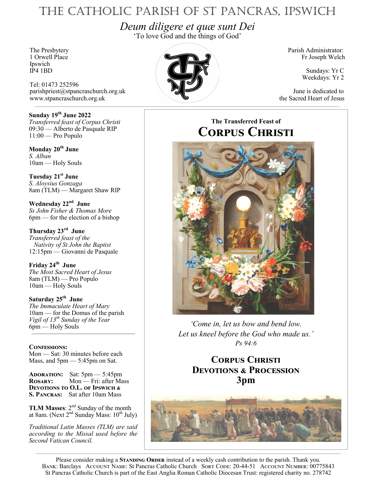# The Catholic Parish of St Pancras, Ipswich

*Deum diligere et quæ sunt Dei* 'To love God and the things of God'

Ipswich<br>IP4 1BD

Tel: 01473 252596 parishpriest@stpancraschurch.org.uk June is dedicated to www.stpancraschurch.org.uk the Sacred Heart of Jesus

**Sunday 19th June 2022** *Transferred feast of Corpus Christi* 09:30 — Alberto de Pasquale RIP 11:00 — Pro Populo

**Monday 20th June** *S. Alban* 10am — Holy Souls

**Tuesday 21st June** *S. Aloysius Gonzaga* 8am (TLM) — Margaret Shaw RIP

**Wednesday 22nd June** *Ss John Fisher & Thomas More* 6pm — for the election of a bishop

**Thursday 23rd June** *Transferred feast of the Nativity of St John the Baptist* 12:15pm — Giovanni de Pasquale

**Friday 24th June** *The Most Sacred Heart of Jesus* 8am (TLM) — Pro Populo 10am — Holy Souls

**Saturday 25th June** *The Immaculate Heart of Mary* 10am — for the Domus of the parish *Vigil of 13th Sunday of the Year* 6pm — Holy Souls ————————————————

### **Confessions:**

Mon — Sat: 30 minutes before each Mass, and 5pm — 5:45pm on Sat.

**Adoration:** Sat: 5pm — 5:45pm **Rosary:** Mon — Fri: after Mass **Devotions to O.L. of Ipswich & S. Pancras:** Sat after 10am Mass

**TLM Masses:**  $2<sup>nd</sup>$  Sunday of the month at 8am. (Next  $2^{nd}$  Sunday Mass:  $10^{th}$  July)

*Traditional Latin Masses (TLM) are said according to the Missal used before the Second Vatican Council.*



Fr Joseph Welch

Sundays: Yr C Weekdays: Yr 2

## **The Transferred Feast of Corpus Christi**



*'Come in, let us bow and bend low. Let us kneel before the God who made us.' Ps 94:6*

## **Corpus Christi Devotions & Procession 3pm**



Please consider making a **STANDING ORDER** instead of a weekly cash contribution to the parish. Thank you. BANK: Barclays ACCOUNT NAME: St Pancras Catholic Church SORT CODE: 20-44-51 ACCOUNT NUMBER: 00775843 St Pancras Catholic Church is part of the East Anglia Roman Catholic Diocesan Trust: registered charity no. 278742